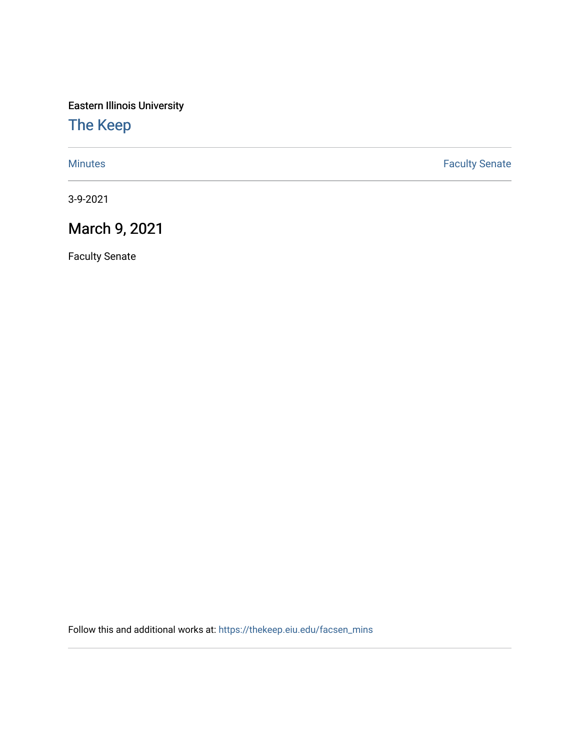Eastern Illinois University

## [The Keep](https://thekeep.eiu.edu/)

[Minutes](https://thekeep.eiu.edu/facsen_mins) **Faculty Senate** 

3-9-2021

## March 9, 2021

Faculty Senate

Follow this and additional works at: [https://thekeep.eiu.edu/facsen\\_mins](https://thekeep.eiu.edu/facsen_mins?utm_source=thekeep.eiu.edu%2Ffacsen_mins%2F1148&utm_medium=PDF&utm_campaign=PDFCoverPages)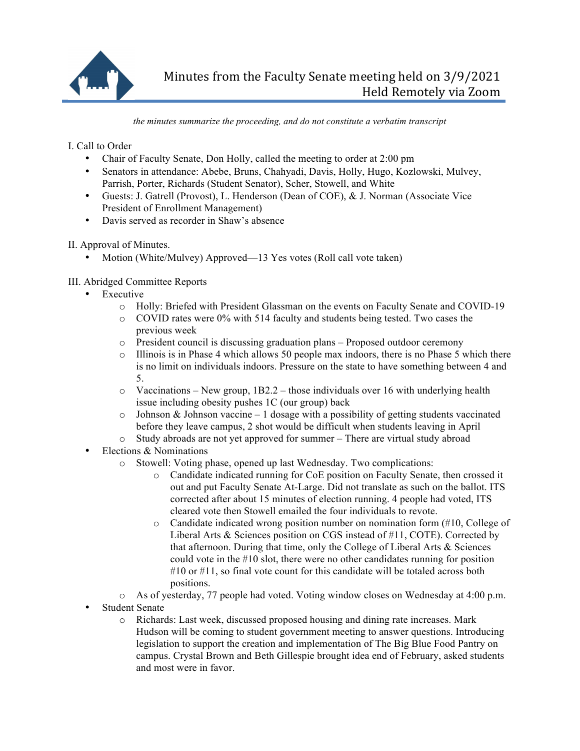

*the minutes summarize the proceeding, and do not constitute a verbatim transcript*

I. Call to Order

- Chair of Faculty Senate, Don Holly, called the meeting to order at 2:00 pm
- Senators in attendance: Abebe, Bruns, Chahyadi, Davis, Holly, Hugo, Kozlowski, Mulvey, Parrish, Porter, Richards (Student Senator), Scher, Stowell, and White
- Guests: J. Gatrell (Provost), L. Henderson (Dean of COE), & J. Norman (Associate Vice President of Enrollment Management)
- Davis served as recorder in Shaw's absence

II. Approval of Minutes.

- Motion (White/Mulvey) Approved—13 Yes votes (Roll call vote taken)
- III. Abridged Committee Reports
	- Executive
		- o Holly: Briefed with President Glassman on the events on Faculty Senate and COVID-19
		- o COVID rates were 0% with 514 faculty and students being tested. Two cases the previous week
		- o President council is discussing graduation plans Proposed outdoor ceremony
		- o Illinois is in Phase 4 which allows 50 people max indoors, there is no Phase 5 which there is no limit on individuals indoors. Pressure on the state to have something between 4 and 5.
		- $\circ$  Vaccinations New group, 1B2.2 those individuals over 16 with underlying health issue including obesity pushes 1C (our group) back
		- $\circ$  Johnson & Johnson vaccine 1 dosage with a possibility of getting students vaccinated before they leave campus, 2 shot would be difficult when students leaving in April
		- o Study abroads are not yet approved for summer There are virtual study abroad
	- Elections & Nominations
		- o Stowell: Voting phase, opened up last Wednesday. Two complications:
			- o Candidate indicated running for CoE position on Faculty Senate, then crossed it out and put Faculty Senate At-Large. Did not translate as such on the ballot. ITS corrected after about 15 minutes of election running. 4 people had voted, ITS cleared vote then Stowell emailed the four individuals to revote.
			- $\circ$  Candidate indicated wrong position number on nomination form (#10, College of Liberal Arts & Sciences position on CGS instead of #11, COTE). Corrected by that afternoon. During that time, only the College of Liberal Arts & Sciences could vote in the #10 slot, there were no other candidates running for position #10 or #11, so final vote count for this candidate will be totaled across both positions.
		- o As of yesterday, 77 people had voted. Voting window closes on Wednesday at 4:00 p.m.
	- Student Senate
		- o Richards: Last week, discussed proposed housing and dining rate increases. Mark Hudson will be coming to student government meeting to answer questions. Introducing legislation to support the creation and implementation of The Big Blue Food Pantry on campus. Crystal Brown and Beth Gillespie brought idea end of February, asked students and most were in favor.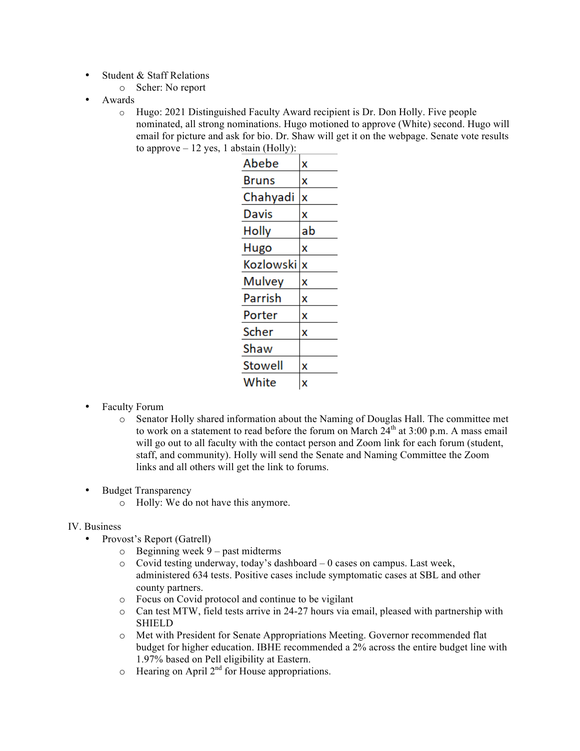- Student & Staff Relations
	- o Scher: No report
- Awards
	- o Hugo: 2021 Distinguished Faculty Award recipient is Dr. Don Holly. Five people nominated, all strong nominations. Hugo motioned to approve (White) second. Hugo will email for picture and ask for bio. Dr. Shaw will get it on the webpage. Senate vote results to approve  $-12$  yes, 1 abstain (Holly):

| X  |
|----|
| x  |
| x  |
| X  |
| ab |
| x  |
| X  |
| X  |
| x  |
| X  |
| X  |
|    |
| X  |
| X  |
|    |

- Faculty Forum
	- o Senator Holly shared information about the Naming of Douglas Hall. The committee met to work on a statement to read before the forum on March  $24<sup>th</sup>$  at  $3:00$  p.m. A mass email will go out to all faculty with the contact person and Zoom link for each forum (student, staff, and community). Holly will send the Senate and Naming Committee the Zoom links and all others will get the link to forums.
- Budget Transparency
	- o Holly: We do not have this anymore.

## IV. Business

- Provost's Report (Gatrell)
	- o Beginning week 9 past midterms
	- o Covid testing underway, today's dashboard 0 cases on campus. Last week, administered 634 tests. Positive cases include symptomatic cases at SBL and other county partners.
	- o Focus on Covid protocol and continue to be vigilant
	- $\circ$  Can test MTW, field tests arrive in 24-27 hours via email, pleased with partnership with **SHIELD**
	- o Met with President for Senate Appropriations Meeting. Governor recommended flat budget for higher education. IBHE recommended a 2% across the entire budget line with 1.97% based on Pell eligibility at Eastern.
	- $\circ$  Hearing on April 2<sup>nd</sup> for House appropriations.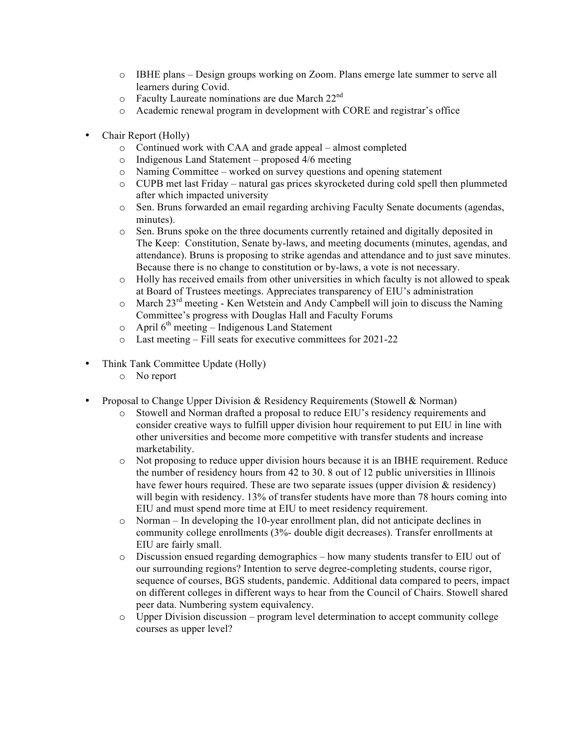- o IBHE plans Design groups working on Zoom. Plans emerge late summer to serve all learners during Covid.
- $\circ$  Faculty Laureate nominations are due March 22<sup>nd</sup>
- o Academic renewal program in development with CORE and registrar's office
- Chair Report (Holly)
	- o Continued work with CAA and grade appeal almost completed
	- o Indigenous Land Statement proposed 4/6 meeting
	- o Naming Committee worked on survey questions and opening statement
	- o CUPB met last Friday natural gas prices skyrocketed during cold spell then plummeted after which impacted university
	- o Sen. Bruns forwarded an email regarding archiving Faculty Senate documents (agendas, minutes).
	- o Sen. Bruns spoke on the three documents currently retained and digitally deposited in The Keep: Constitution, Senate by-laws, and meeting documents (minutes, agendas, and attendance). Bruns is proposing to strike agendas and attendance and to just save minutes. Because there is no change to constitution or by-laws, a vote is not necessary.
	- o Holly has received emails from other universities in which faculty is not allowed to speak at Board of Trustees meetings. Appreciates transparency of EIU's administration
	- $\circ$  March 23<sup>rd</sup> meeting Ken Wetstein and Andy Campbell will join to discuss the Naming Committee's progress with Douglas Hall and Faculty Forums
	- $\circ$  April 6<sup>th</sup> meeting Indigenous Land Statement
	- o Last meeting Fill seats for executive committees for 2021-22
- Think Tank Committee Update (Holly)
	- o No report
- Proposal to Change Upper Division & Residency Requirements (Stowell & Norman)
	- o Stowell and Norman drafted a proposal to reduce EIU's residency requirements and consider creative ways to fulfill upper division hour requirement to put EIU in line with other universities and become more competitive with transfer students and increase marketability.
	- o Not proposing to reduce upper division hours because it is an IBHE requirement. Reduce the number of residency hours from 42 to 30. 8 out of 12 public universities in Illinois have fewer hours required. These are two separate issues (upper division & residency) will begin with residency. 13% of transfer students have more than 78 hours coming into EIU and must spend more time at EIU to meet residency requirement.
	- o Norman In developing the 10-year enrollment plan, did not anticipate declines in community college enrollments (3%- double digit decreases). Transfer enrollments at EIU are fairly small.
	- o Discussion ensued regarding demographics how many students transfer to EIU out of our surrounding regions? Intention to serve degree-completing students, course rigor, sequence of courses, BGS students, pandemic. Additional data compared to peers, impact on different colleges in different ways to hear from the Council of Chairs. Stowell shared peer data. Numbering system equivalency.
	- $\circ$  Upper Division discussion program level determination to accept community college courses as upper level?